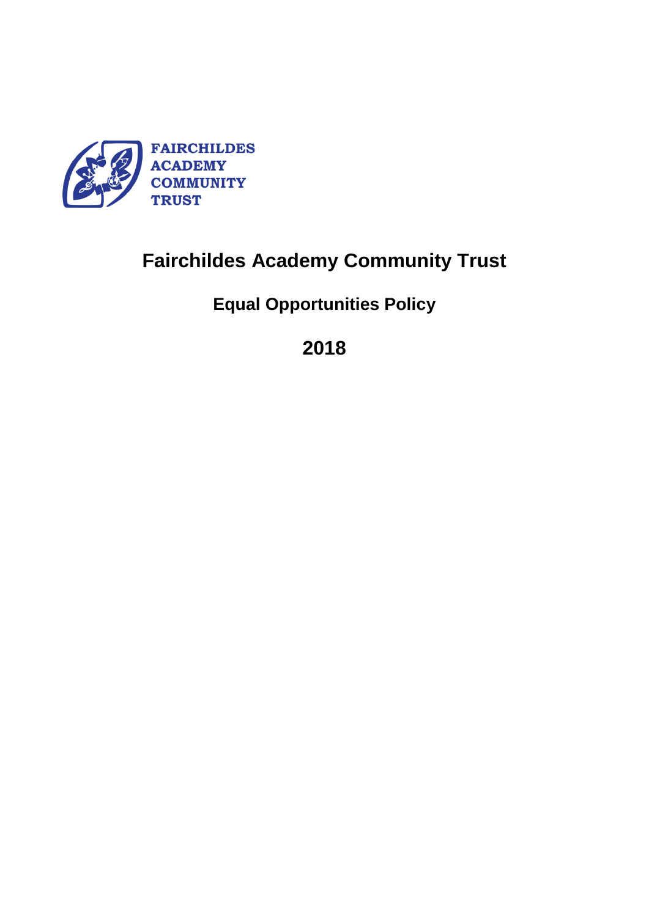

# **Fairchildes Academy Community Trust**

**Equal Opportunities Policy**

**2018**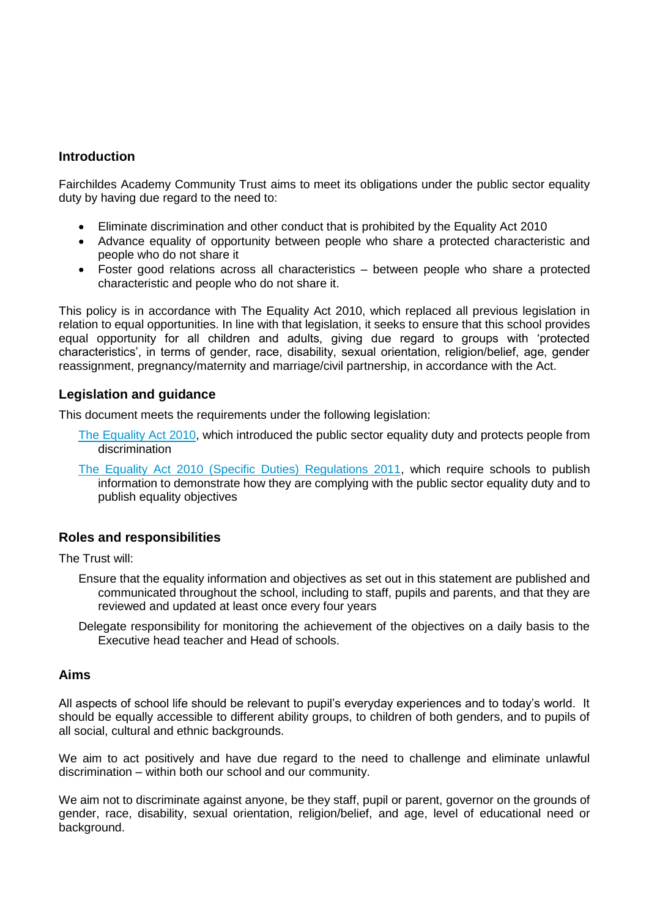## **Introduction**

Fairchildes Academy Community Trust aims to meet its obligations under the public sector equality duty by having due regard to the need to:

- Eliminate discrimination and other conduct that is prohibited by the Equality Act 2010
- Advance equality of opportunity between people who share a protected characteristic and people who do not share it
- Foster good relations across all characteristics between people who share a protected characteristic and people who do not share it.

This policy is in accordance with The Equality Act 2010, which replaced all previous legislation in relation to equal opportunities. In line with that legislation, it seeks to ensure that this school provides equal opportunity for all children and adults, giving due regard to groups with 'protected characteristics', in terms of gender, race, disability, sexual orientation, religion/belief, age, gender reassignment, pregnancy/maternity and marriage/civil partnership, in accordance with the Act.

### **Legislation and guidance**

This document meets the requirements under the following legislation:

- [The Equality Act 2010,](http://www.legislation.gov.uk/ukpga/2010/15/contents) which introduced the public sector equality duty and protects people from discrimination
- [The Equality Act 2010 \(Specific Duties\) Regulations 2011,](http://www.legislation.gov.uk/uksi/2011/2260/contents/made) which require schools to publish information to demonstrate how they are complying with the public sector equality duty and to publish equality objectives

### **Roles and responsibilities**

The Trust will:

- Ensure that the equality information and objectives as set out in this statement are published and communicated throughout the school, including to staff, pupils and parents, and that they are reviewed and updated at least once every four years
- Delegate responsibility for monitoring the achievement of the objectives on a daily basis to the Executive head teacher and Head of schools.

### **Aims**

All aspects of school life should be relevant to pupil's everyday experiences and to today's world. It should be equally accessible to different ability groups, to children of both genders, and to pupils of all social, cultural and ethnic backgrounds.

We aim to act positively and have due regard to the need to challenge and eliminate unlawful discrimination – within both our school and our community.

We aim not to discriminate against anyone, be they staff, pupil or parent, governor on the grounds of gender, race, disability, sexual orientation, religion/belief, and age, level of educational need or background.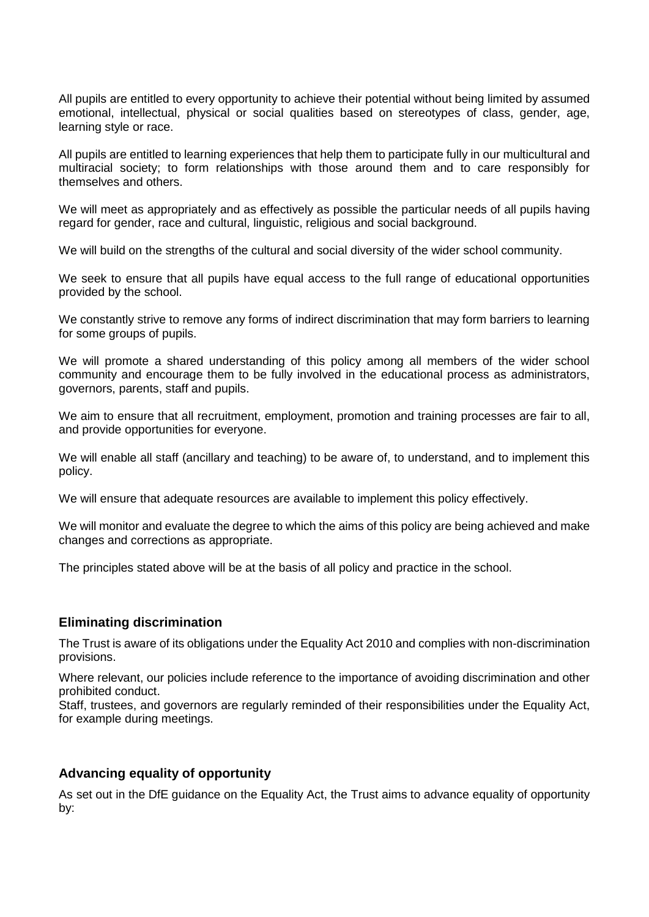All pupils are entitled to every opportunity to achieve their potential without being limited by assumed emotional, intellectual, physical or social qualities based on stereotypes of class, gender, age, learning style or race.

All pupils are entitled to learning experiences that help them to participate fully in our multicultural and multiracial society; to form relationships with those around them and to care responsibly for themselves and others.

We will meet as appropriately and as effectively as possible the particular needs of all pupils having regard for gender, race and cultural, linguistic, religious and social background.

We will build on the strengths of the cultural and social diversity of the wider school community.

We seek to ensure that all pupils have equal access to the full range of educational opportunities provided by the school.

We constantly strive to remove any forms of indirect discrimination that may form barriers to learning for some groups of pupils.

We will promote a shared understanding of this policy among all members of the wider school community and encourage them to be fully involved in the educational process as administrators, governors, parents, staff and pupils.

We aim to ensure that all recruitment, employment, promotion and training processes are fair to all, and provide opportunities for everyone.

We will enable all staff (ancillary and teaching) to be aware of, to understand, and to implement this policy.

We will ensure that adequate resources are available to implement this policy effectively.

We will monitor and evaluate the degree to which the aims of this policy are being achieved and make changes and corrections as appropriate.

The principles stated above will be at the basis of all policy and practice in the school.

### **Eliminating discrimination**

The Trust is aware of its obligations under the Equality Act 2010 and complies with non-discrimination provisions.

Where relevant, our policies include reference to the importance of avoiding discrimination and other prohibited conduct.

Staff, trustees, and governors are regularly reminded of their responsibilities under the Equality Act, for example during meetings.

### **Advancing equality of opportunity**

As set out in the DfE guidance on the Equality Act, the Trust aims to advance equality of opportunity by: